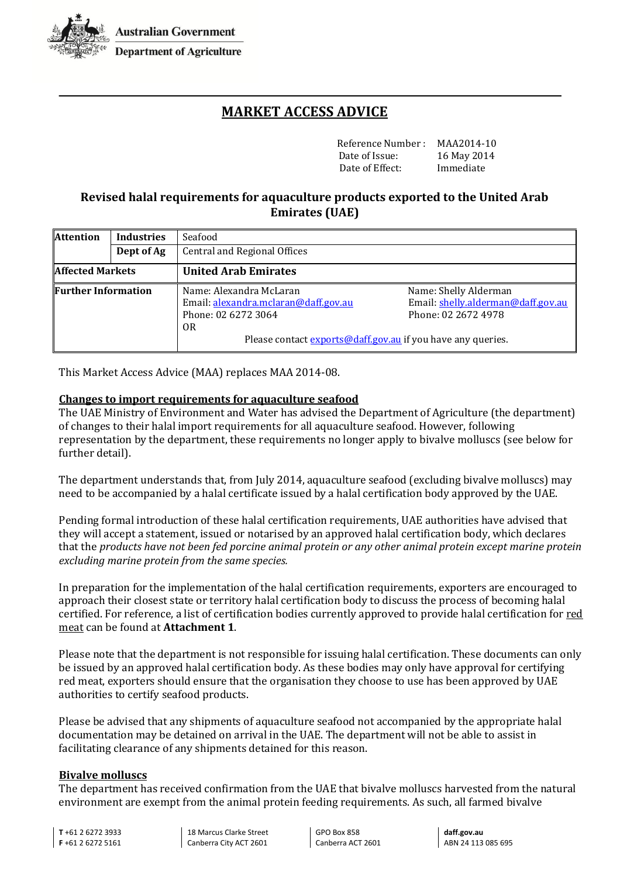

**Department of Agriculture** 

# **MARKET ACCESS ADVICE**

Reference Number : MAA2014-10 Date of Issue: 16 May 2014<br>Date of Effect: Immediate Date of Effect:

## **Revised halal requirements for aquaculture products exported to the United Arab Emirates (UAE)**

| <b>Attention</b>           | <b>Industries</b> | Seafood<br>Central and Regional Offices                     |                                    |  |  |  |  |  |  |
|----------------------------|-------------------|-------------------------------------------------------------|------------------------------------|--|--|--|--|--|--|
|                            | Dept of Ag        |                                                             |                                    |  |  |  |  |  |  |
| <b>Affected Markets</b>    |                   | <b>United Arab Emirates</b>                                 |                                    |  |  |  |  |  |  |
| <b>Further Information</b> |                   | Name: Alexandra McLaran                                     | Name: Shelly Alderman              |  |  |  |  |  |  |
|                            |                   | Email: alexandra.mclaran@daff.gov.au                        | Email: shelly.alderman@daff.gov.au |  |  |  |  |  |  |
|                            |                   | Phone: 02 6272 3064                                         | Phone: 02 2672 4978                |  |  |  |  |  |  |
|                            |                   | 0R                                                          |                                    |  |  |  |  |  |  |
|                            |                   | Please contact exports@daff.gov.au if you have any queries. |                                    |  |  |  |  |  |  |

This Market Access Advice (MAA) replaces MAA 2014-08.

#### **Changes to import requirements for aquaculture seafood**

The UAE Ministry of Environment and Water has advised the Department of Agriculture (the department) of changes to their halal import requirements for all aquaculture seafood. However, following representation by the department, these requirements no longer apply to bivalve molluscs (see below for further detail).

The department understands that, from July 2014, aquaculture seafood (excluding bivalve molluscs) may need to be accompanied by a halal certificate issued by a halal certification body approved by the UAE.

Pending formal introduction of these halal certification requirements, UAE authorities have advised that they will accept a statement, issued or notarised by an approved halal certification body, which declares that the *products have not been fed porcine animal protein or any other animal protein except marine protein excluding marine protein from the same species.*

In preparation for the implementation of the halal certification requirements, exporters are encouraged to approach their closest state or territory halal certification body to discuss the process of becoming halal certified. For reference, a list of certification bodies currently approved to provide halal certification for red meat can be found at **Attachment 1**.

Please note that the department is not responsible for issuing halal certification. These documents can only be issued by an approved halal certification body. As these bodies may only have approval for certifying red meat, exporters should ensure that the organisation they choose to use has been approved by UAE authorities to certify seafood products.

Please be advised that any shipments of aquaculture seafood not accompanied by the appropriate halal documentation may be detained on arrival in the UAE. The department will not be able to assist in facilitating clearance of any shipments detained for this reason.

#### **Bivalve molluscs**

The department has received confirmation from the UAE that bivalve molluscs harvested from the natural environment are exempt from the animal protein feeding requirements. As such, all farmed bivalve

**T** +61 2 6272 3933 **F** +61 2 6272 5161

18 Marcus Clarke Street Canberra City ACT 2601

GPO Box 858 Canberra ACT 2601

**daff.gov.au** ABN 24 113 085 695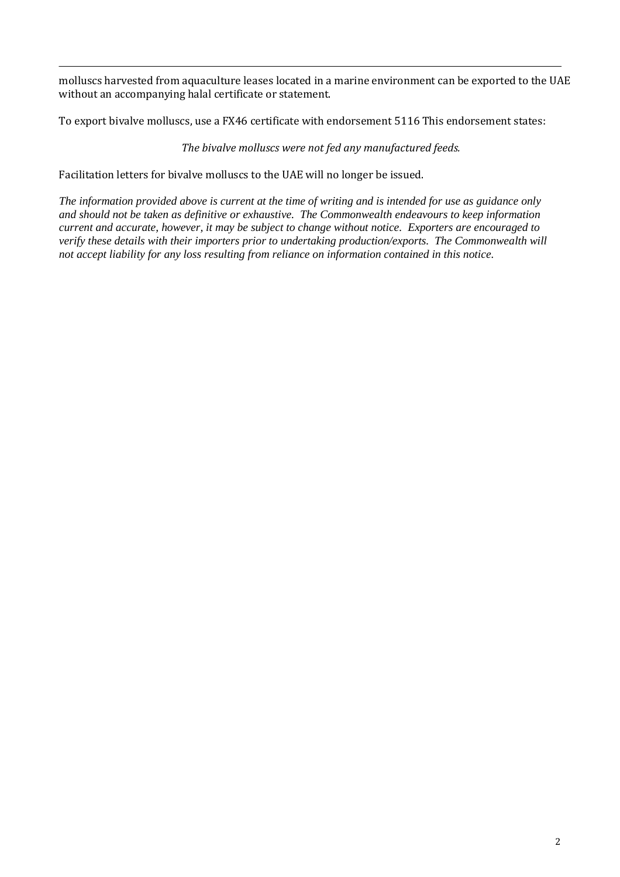molluscs harvested from aquaculture leases located in a marine environment can be exported to the UAE without an accompanying halal certificate or statement.

To export bivalve molluscs, use a FX46 certificate with endorsement 5116 This endorsement states:

*The bivalve molluscs were not fed any manufactured feeds.*

Facilitation letters for bivalve molluscs to the UAE will no longer be issued.

*The information provided above is current at the time of writing and is intended for use as guidance only and should not be taken as definitive or exhaustive. The Commonwealth endeavours to keep information current and accurate, however, it may be subject to change without notice. Exporters are encouraged to verify these details with their importers prior to undertaking production/exports. The Commonwealth will not accept liability for any loss resulting from reliance on information contained in this notice.*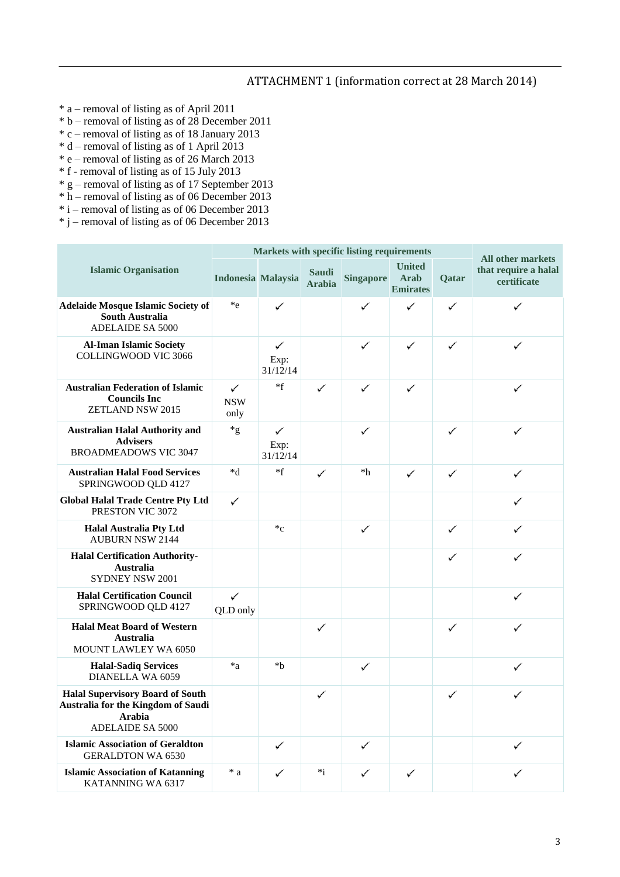### ATTACHMENT 1 (information correct at 28 March 2014)

- \* a removal of listing as of April 2011
- $*$  b removal of listing as of 28 December 2011
- \* c removal of listing as of 18 January 2013
- \* d removal of listing as of 1 April 2013
- \* e removal of listing as of 26 March 2013
- \* f removal of listing as of 15 July 2013
- \* g removal of listing as of 17 September 2013
- \* h removal of listing as of 06 December 2013
- \* i removal of listing as of 06 December 2013
- $*$  j removal of listing as of 06 December 2013

|                                                                                                                           | Markets with specific listing requirements |                       |                               |                  |                                                 |       |                                                                 |
|---------------------------------------------------------------------------------------------------------------------------|--------------------------------------------|-----------------------|-------------------------------|------------------|-------------------------------------------------|-------|-----------------------------------------------------------------|
| <b>Islamic Organisation</b>                                                                                               | Indonesia Malaysia                         |                       | <b>Saudi</b><br><b>Arabia</b> | <b>Singapore</b> | <b>United</b><br><b>Arab</b><br><b>Emirates</b> | Qatar | <b>All other markets</b><br>that require a halal<br>certificate |
| <b>Adelaide Mosque Islamic Society of</b><br><b>South Australia</b><br><b>ADELAIDE SA 5000</b>                            | $*_{e}$                                    | ✓                     |                               | ✓                | ✓                                               | ✓     | ✓                                                               |
| <b>Al-Iman Islamic Society</b><br><b>COLLINGWOOD VIC 3066</b>                                                             |                                            | ✓<br>Exp:<br>31/12/14 |                               | ✓                | ✓                                               | ✓     | ✓                                                               |
| <b>Australian Federation of Islamic</b><br><b>Councils Inc</b><br>ZETLAND NSW 2015                                        | ✓<br><b>NSW</b><br>only                    | $*f$                  | ✓                             | ✓                | ✓                                               |       | ✓                                                               |
| <b>Australian Halal Authority and</b><br><b>Advisers</b><br><b>BROADMEADOWS VIC 3047</b>                                  | $*_{g}$                                    | ✓<br>Exp:<br>31/12/14 |                               | ✓                |                                                 | ✓     | ✓                                                               |
| <b>Australian Halal Food Services</b><br>SPRINGWOOD QLD 4127                                                              | $*d$                                       | $*f$                  | ✓                             | $*h$             | ✓                                               | ✓     | ✓                                                               |
| <b>Global Halal Trade Centre Pty Ltd</b><br>PRESTON VIC 3072                                                              | ✓                                          |                       |                               |                  |                                                 |       | ✓                                                               |
| <b>Halal Australia Pty Ltd</b><br><b>AUBURN NSW 2144</b>                                                                  |                                            | $C^*$                 |                               | ✓                |                                                 | ✓     | ✓                                                               |
| <b>Halal Certification Authority-</b><br><b>Australia</b><br>SYDNEY NSW 2001                                              |                                            |                       |                               |                  |                                                 | ✓     | ✓                                                               |
| <b>Halal Certification Council</b><br>SPRINGWOOD QLD 4127                                                                 | ✓<br>QLD only                              |                       |                               |                  |                                                 |       | ✓                                                               |
| <b>Halal Meat Board of Western</b><br><b>Australia</b><br>MOUNT LAWLEY WA 6050                                            |                                            |                       | ✓                             |                  |                                                 | ✓     | ✓                                                               |
| <b>Halal-Sadiq Services</b><br>DIANELLA WA 6059                                                                           | $a^*a$                                     | *b                    |                               | ✓                |                                                 |       | ✓                                                               |
| <b>Halal Supervisory Board of South</b><br>Australia for the Kingdom of Saudi<br><b>Arabia</b><br><b>ADELAIDE SA 5000</b> |                                            |                       | ✓                             |                  |                                                 | ✓     | ✓                                                               |
| <b>Islamic Association of Geraldton</b><br><b>GERALDTON WA 6530</b>                                                       |                                            | ✓                     |                               | ✓                |                                                 |       | ✓                                                               |
| <b>Islamic Association of Katanning</b><br>KATANNING WA 6317                                                              | $* a$                                      | ✓                     | $*_{1}$                       | ✓                | ✓                                               |       | ✓                                                               |